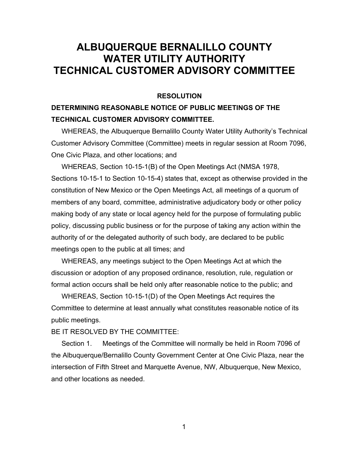## **ALBUQUERQUE BERNALILLO COUNTY WATER UTILITY AUTHORITY TECHNICAL CUSTOMER ADVISORY COMMITTEE**

## **RESOLUTION**

## **DETERMINING REASONABLE NOTICE OF PUBLIC MEETINGS OF THE TECHNICAL CUSTOMER ADVISORY COMMITTEE.**

 WHEREAS, the Albuquerque Bernalillo County Water Utility Authority's Technical Customer Advisory Committee (Committee) meets in regular session at Room 7096, One Civic Plaza, and other locations; and

 WHEREAS, Section 10-15-1(B) of the Open Meetings Act (NMSA 1978, Sections 10-15-1 to Section 10-15-4) states that, except as otherwise provided in the constitution of New Mexico or the Open Meetings Act, all meetings of a quorum of members of any board, committee, administrative adjudicatory body or other policy making body of any state or local agency held for the purpose of formulating public policy, discussing public business or for the purpose of taking any action within the authority of or the delegated authority of such body, are declared to be public meetings open to the public at all times; and

 WHEREAS, any meetings subject to the Open Meetings Act at which the discussion or adoption of any proposed ordinance, resolution, rule, regulation or formal action occurs shall be held only after reasonable notice to the public; and

 WHEREAS, Section 10-15-1(D) of the Open Meetings Act requires the Committee to determine at least annually what constitutes reasonable notice of its public meetings.

## BE IT RESOLVED BY THE COMMITTEE:

 Section 1. Meetings of the Committee will normally be held in Room 7096 of the Albuquerque/Bernalillo County Government Center at One Civic Plaza, near the intersection of Fifth Street and Marquette Avenue, NW, Albuquerque, New Mexico, and other locations as needed.

1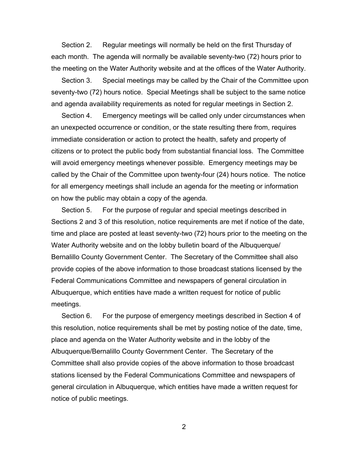Section 2. Regular meetings will normally be held on the first Thursday of each month. The agenda will normally be available seventy-two (72) hours prior to the meeting on the Water Authority website and at the offices of the Water Authority.

 Section 3. Special meetings may be called by the Chair of the Committee upon seventy-two (72) hours notice. Special Meetings shall be subject to the same notice and agenda availability requirements as noted for regular meetings in Section 2.

Section 4. Emergency meetings will be called only under circumstances when an unexpected occurrence or condition, or the state resulting there from, requires immediate consideration or action to protect the health, safety and property of citizens or to protect the public body from substantial financial loss. The Committee will avoid emergency meetings whenever possible. Emergency meetings may be called by the Chair of the Committee upon twenty-four (24) hours notice. The notice for all emergency meetings shall include an agenda for the meeting or information on how the public may obtain a copy of the agenda.

Section 5. For the purpose of regular and special meetings described in Sections 2 and 3 of this resolution, notice requirements are met if notice of the date, time and place are posted at least seventy-two (72) hours prior to the meeting on the Water Authority website and on the lobby bulletin board of the Albuquerque/ Bernalillo County Government Center. The Secretary of the Committee shall also provide copies of the above information to those broadcast stations licensed by the Federal Communications Committee and newspapers of general circulation in Albuquerque, which entities have made a written request for notice of public meetings.

 Section 6. For the purpose of emergency meetings described in Section 4 of this resolution, notice requirements shall be met by posting notice of the date, time, place and agenda on the Water Authority website and in the lobby of the Albuquerque/Bernalillo County Government Center. The Secretary of the Committee shall also provide copies of the above information to those broadcast stations licensed by the Federal Communications Committee and newspapers of general circulation in Albuquerque, which entities have made a written request for notice of public meetings.

2